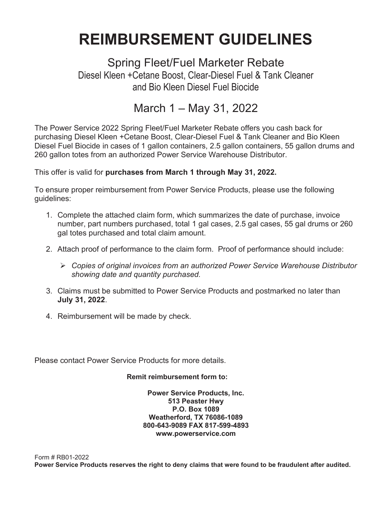# **REIMBURSEMENT GUIDELINES**

Spring Fleet/Fuel Marketer Rebate Diesel Kleen +Cetane Boost, Clear-Diesel Fuel & Tank Cleaner and Bio Kleen Diesel Fuel Biocide

### March 1 – May 31, 2022

The Power Service 2022 Spring Fleet/Fuel Marketer Rebate offers you cash back for purchasing Diesel Kleen +Cetane Boost, Clear-Diesel Fuel & Tank Cleaner and Bio Kleen Diesel Fuel Biocide in cases of 1 gallon containers, 2.5 gallon containers, 55 gallon drums and 260 gallon totes from an authorized Power Service Warehouse Distributor.

This offer is valid for **purchases from March 1 through May 31, 2022.**

To ensure proper reimbursement from Power Service Products, please use the following guidelines:

- 1. Complete the attached claim form, which summarizes the date of purchase, invoice number, part numbers purchased, total 1 gal cases, 2.5 gal cases, 55 gal drums or 260 gal totes purchased and total claim amount.
- 2. Attach proof of performance to the claim form. Proof of performance should include:
	- *Copies of original invoices from an authorized Power Service Warehouse Distributor showing date and quantity purchased.*
- 3. Claims must be submitted to Power Service Products and postmarked no later than **July 31, 2022**.
- 4. Reimbursement will be made by check.

Please contact Power Service Products for more details.

### **Remit reimbursement form to:**

**Power Service Products, Inc. 513 Peaster Hwy P.O. Box 1089 Weatherford, TX 76086-1089 800-643-9089 FAX 817-599-4893 www.powerservice.com**

Form # RB01-2022 **Power Service Products reserves the right to deny claims that were found to be fraudulent after audited.**